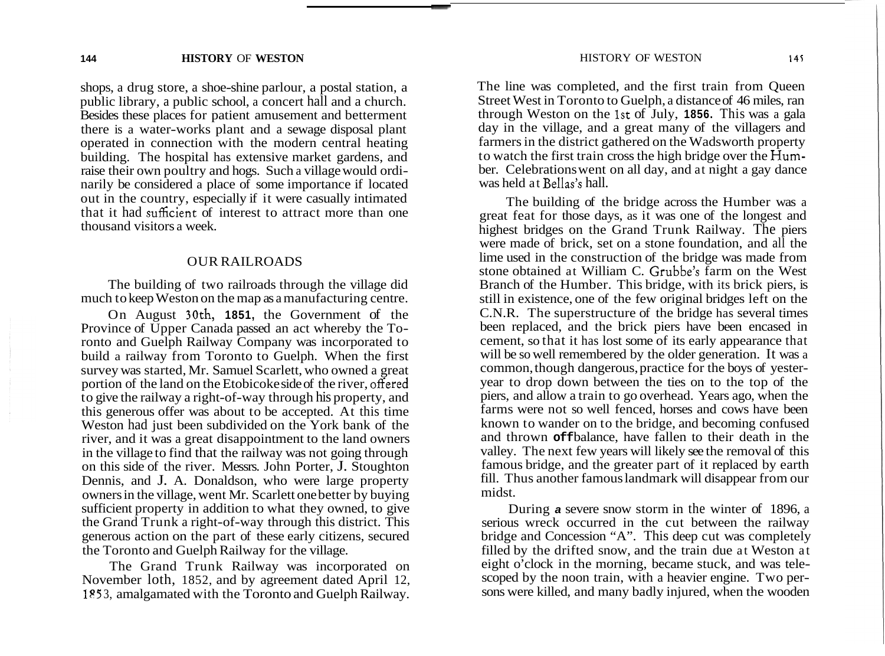shops, a drug store, a shoe-shine parlour, a postal station, a public library, a public school, a concert hall and a church. Besides these places for patient amusement and betterment there is a water-works plant and a sewage disposal plant operated in connection with the modern central heating building. The hospital has extensive market gardens, and raise their own poultry and hogs. Such a village would ordinarily be considered a place of some importance if located out in the country, especially if it were casually intimated that it had suficient of interest to attract more than one thousand visitors a week.

#### OUR RAILROADS

The building of two railroads through the village did much to keep Weston on the map as a manufacturing centre.

On August 30th, **1851,** the Government of the Province of Upper Canada passed an act whereby the Toronto and Guelph Railway Company was incorporated to build a railway from Toronto to Guelph. When the first survey was started, Mr. Samuel Scarlett, who owned a great portion of the land on the Etobicoke side of the river, offered to give the railway a right-of-way through his property, and this generous offer was about to be accepted. At this time Weston had just been subdivided on the York bank of the river, and it was a great disappointment to the land owners in the village to find that the railway was not going through on this side of the river. Messrs. John Porter, J. Stoughton Dennis, and J. A. Donaldson, who were large property owners in the village, went Mr. Scarlett one better by buying sufficient property in addition to what they owned, to give the Grand Trunk a right-of-way through this district. This generous action on the part of these early citizens, secured the Toronto and Guelph Railway for the village.

The Grand Trunk Railway was incorporated on November loth, 1852, and by agreement dated April 12, 1 **P** *<sup>5</sup>*3, amalgamated with the Toronto and Guelph Railway. The line was completed, and the first train from Queen Street West in Toronto to Guelph, a distance of 46 miles, ran through Weston on the 1st of July, **1856.** This was a gala day in the village, and a great many of the villagers and farmers in the district gathered on the Wadsworth property to watch the first train cross the high bridge over the **Hum**ber. Celebrations went on all day, and at night a gay dance was held at Bellas's hall.

The building of the bridge across the Humber was a great feat for those days, as it was one of the longest and highest bridges on the Grand Trunk Railway. The piers were made of brick, set on a stone foundation, and all the lime used in the construction of the bridge was made from stone obtained at William C. Grubbe's farm on the West Branch of the Humber. This bridge, with its brick piers, is still in existence, one of the few original bridges left on the C.N.R. The superstructure of the bridge has several times been replaced, and the brick piers have been encased in cement, so that it has lost some of its early appearance that will be so well remembered by the older generation. It was a common, though dangerous, practice for the boys of yesteryear to drop down between the ties on to the top of the piers, and allow a train to go overhead. Years ago, when the farms were not so well fenced, horses and cows have been known to wander on to the bridge, and becoming confused and thrown **off** balance, have fallen to their death in the valley. The next few years will likely see the removal of this famous bridge, and the greater part of it replaced by earth fill. Thus another famous landmark will disappear from our midst.

During *a* severe snow storm in the winter of 1896, a serious wreck occurred in the cut between the railway bridge and Concession "A". This deep cut was completely filled by the drifted snow, and the train due at Weston at eight o'clock in the morning, became stuck, and was telescoped by the noon train, with a heavier engine. Two persons were killed, and many badly injured, when the wooden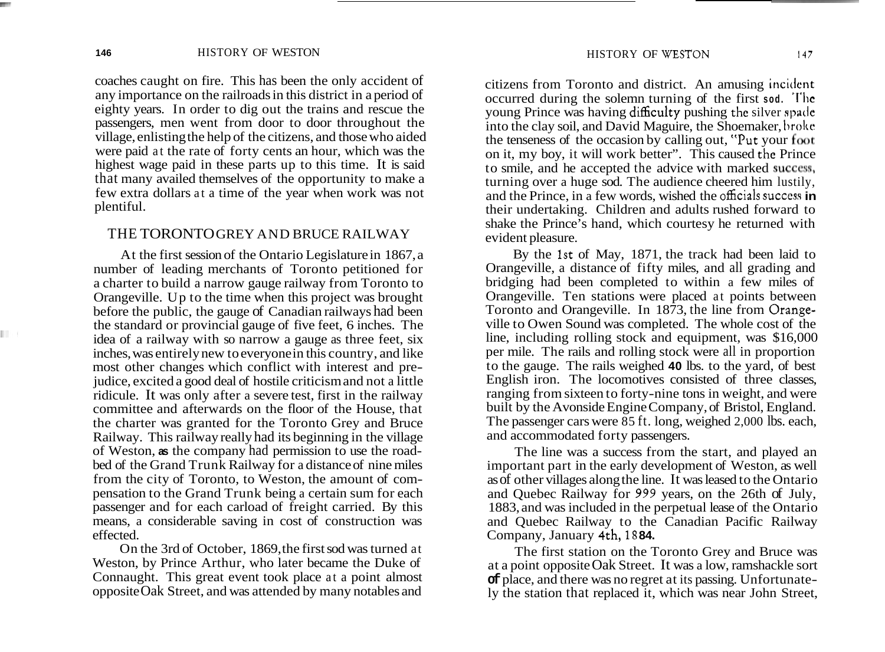coaches caught on fire. This has been the only accident of any importance on the railroads in this district in a period of eighty years. In order to dig out the trains and rescue the passengers, men went from door to door throughout the village, enlisting the help of the citizens, and those who aided were paid at the rate of forty cents an hour, which was the highest wage paid in these parts up to this time. It is said that many availed themselves of the opportunity to make a few extra dollars at a time of the year when work was not plentiful.

### THE TORONTO GREY AND BRUCE RAILWAY

At the first session of the Ontario Legislature in 1867, a number of leading merchants of Toronto petitioned for a charter to build a narrow gauge railway from Toronto to Orangeville. Up to the time when this project was brought before the public, the gauge of Canadian railways had been the standard or provincial gauge of five feet, 6 inches. The idea of a railway with so narrow a gauge as three feet, six inches, was entirely new to everyone in this country, and like most other changes which conflict with interest and prejudice, excited a good deal of hostile criticism and not a little ridicule. It was only after a severe test, first in the railway committee and afterwards on the floor of the House, that the charter was granted for the Toronto Grey and Bruce Railway. This railway really had its beginning in the village of Weston, **as** the company had permission to use the roadbed of the Grand Trunk Railway for a distance of nine miles from the city of Toronto, to Weston, the amount of compensation to the Grand Trunk being a certain sum for each passenger and for each carload of freight carried. By this means, a considerable saving in cost of construction was effected.

On the 3rd of October, 1869, the first sod was turned at Weston, by Prince Arthur, who later became the Duke of Connaught. This great event took place at a point almost opposite Oak Street, and was attended by many notables and citizens from Toronto and district. An amusing incident occurred during the solemn turning of the first **sod. 'I'hc**  young Prince was having difficulty pushing the silver spade into the clay soil, and David Maguire, the Shoemaker, hrokc the tenseness of the occasion by calling out, "Put your **foot**  on it, my boy, it will work better". This caused thc Prince to smile, and he accepted the advice with marked success, turning over a huge sod. The audience cheered him lustily, and the Prince, in a few words, wished the officials success in their undertaking. Children and adults rushed forward to shake the Prince's hand, which courtesy he returned with evident pleasure.

By the 1st of May, 1871, the track had been laid to Orangeville, a distance of fifty miles, and all grading and bridging had been completed to within a few miles of Orangeville. Ten stations were placed at points between Toronto and Orangeville. In 1873, the line from Orangeville to Owen Sound was completed. The whole cost of the line, including rolling stock and equipment, was \$16,000 per mile. The rails and rolling stock were all in proportion to the gauge. The rails weighed **40** lbs. to the yard, of best English iron. The locomotives consisted of three classes, ranging from sixteen to forty-nine tons in weight, and were built by the Avonside Engine Company, of Bristol, England. The passenger cars were 85 ft. long, weighed 2,000 lbs. each, and accommodated forty passengers.

The line was a success from the start, and played an important part in the early development of Weston, as well as of other villages along the line. It was leased to the Ontario and Quebec Railway for 999 years, on the 26th of July, 1883, and was included in the perpetual lease of the Ontario and Quebec Railway to the Canadian Pacific Railway Company, January 4th, 18 **84.** 

The first station on the Toronto Grey and Bruce was at a point opposite Oak Street. It was a low, ramshackle sort **of** place, and there was no regret at its passing. Unfortunately the station that replaced it, which was near John Street,

 $\mathcal{L}^{\text{max}}$